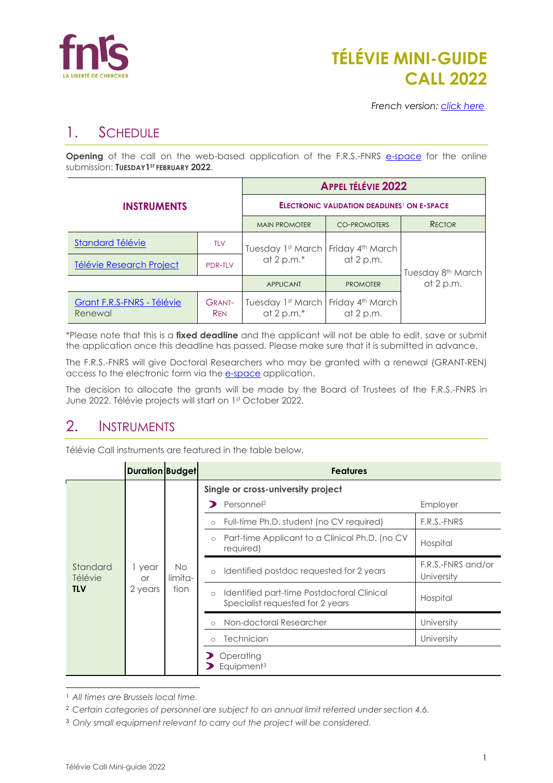

# **TÉLÉVIE MINI-GUIDE CALL 2022**

*French version: [click here](https://www.frs-fnrs.be/docs/Reglement-et-documents/FRS-FNRS_MiniGuide2022-Televie_FR.pdf)*.

# 1. SCHEDULE

**Opening** of the call on the web-based application of the F.R.S.-FNRS [e-space](https://e-space.frs-fnrs.be/) for the online submission: **TUESDAY1ST FEBRUARY 2022**.

|                                       | <b>APPEL TÉLÉVIE 2022</b>                                     |                                    |                                 |                               |
|---------------------------------------|---------------------------------------------------------------|------------------------------------|---------------------------------|-------------------------------|
| <b>INSTRUMENTS</b>                    | <b>ELECTRONIC VALIDATION DEADLINES<sup>1</sup> ON E-SPACE</b> |                                    |                                 |                               |
|                                       | <b>MAIN PROMOTER</b>                                          | <b>CO-PROMOTERS</b>                | <b>RECTOR</b>                   |                               |
| <b>Standard Télévie</b>               | <b>TLV</b>                                                    | Tuesday 1st March                  | Friday 4th March<br>at $2 p.m.$ | Tuesday 8 <sup>th</sup> March |
| Télévie Research Project              | <b>PDR-TLV</b>                                                | at 2 p.m.*                         |                                 |                               |
|                                       | <b>APPLICANT</b>                                              | <b>PROMOTER</b>                    | at $2 p.m.$                     |                               |
| Grant F.R.S-FNRS - Télévie<br>Renewal | <b>GRANT-</b><br><b>REN</b>                                   | Tuesday 1st March<br>at 2 p.m. $*$ | Friday 4th March<br>at $2 p.m.$ |                               |

\*Please note that this is a **fixed deadline** and the applicant will not be able to edit, save or submit the application once this deadline has passed. Please make sure that it is submitted in advance.

The F.R.S.-FNRS will give Doctoral Researchers who may be granted with a renewal (GRANT-REN) access to the electronic form via the **[e-space](https://e-space.frs-fnrs.be/)** application.

The decision to allocate the grants will be made by the Board of Trustees of the F.R.S.-FNRS in June 2022. Télévie projects will start on 1st October 2022.

# 2. INSTRUMENTS

Télévie Call instruments are featured in the table below.

|                                   | <b>Duration Budget</b>         |                        | <b>Features</b>                                                                                                                                                                                                                                      |                                                                         |
|-----------------------------------|--------------------------------|------------------------|------------------------------------------------------------------------------------------------------------------------------------------------------------------------------------------------------------------------------------------------------|-------------------------------------------------------------------------|
| Standard<br>Télévie<br><b>TLV</b> | 1 year<br><b>or</b><br>2 years | No.<br>limita-<br>tion | Single or cross-university project<br>Personnel <sup>2</sup><br>Full-time Ph.D. student (no CV required)<br>$\circ$<br>Part-time Applicant to a Clinical Ph.D. (no CV<br>$\circ$<br>required)<br>Identified postdoc requested for 2 years<br>$\circ$ | Employer<br>F.R.S.-FNRS<br>Hospital<br>F.R.S.-FNRS and/or<br>University |
|                                   |                                |                        | Identified part-time Postdoctoral Clinical<br>$\circ$<br>Specialist requested for 2 years                                                                                                                                                            | Hospital                                                                |
|                                   |                                |                        | Non-doctoral Researcher<br>$\bigcap$                                                                                                                                                                                                                 | University                                                              |
|                                   |                                |                        | <b>Technician</b><br>$\bigcirc$                                                                                                                                                                                                                      | University                                                              |
|                                   |                                |                        | Operating<br>Equipment <sup>3</sup>                                                                                                                                                                                                                  |                                                                         |

<sup>1</sup> *All times are Brussels local time.*

<sup>2</sup> *Certain categories of personnel are subject to an annual limit referred under section 4.6.*

<sup>3</sup> *Only small equipment relevant to carry out the project will be considered.*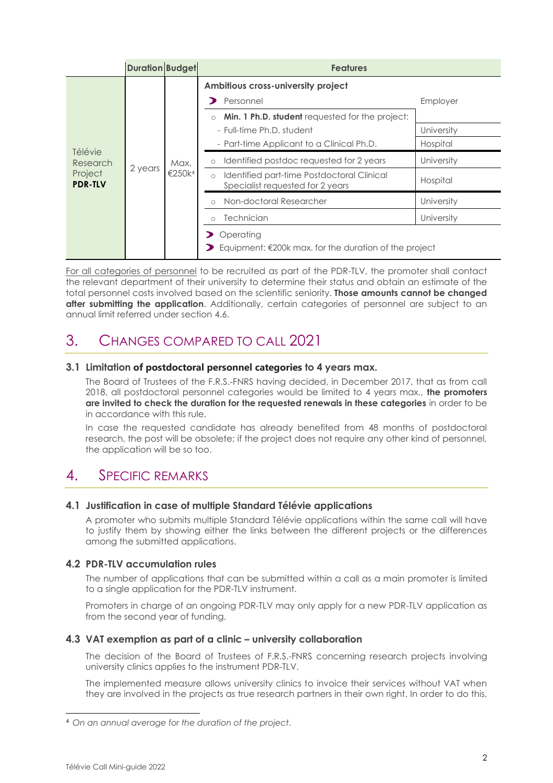|                                                  | <b>Duration Budget</b> |                            | <b>Features</b>                                                                                                                                                                         |                                    |
|--------------------------------------------------|------------------------|----------------------------|-----------------------------------------------------------------------------------------------------------------------------------------------------------------------------------------|------------------------------------|
| Télévie<br>Research<br>Project<br><b>PDR-TLV</b> |                        | Max.<br>€250k <sup>4</sup> | Ambitious cross-university project<br>Personnel<br>Min. 1 Ph.D. student requested for the project:<br>$\circ$<br>- Full-time Ph.D. student<br>- Part-time Applicant to a Clinical Ph.D. | Employer<br>University<br>Hospital |
|                                                  | 2 years                |                            | Identified postdoc requested for 2 years<br>$\circ$<br>Identified part-time Postdoctoral Clinical<br>$\circ$<br>Specialist requested for 2 years                                        | University<br>Hospital             |
|                                                  |                        |                            | Non-doctoral Researcher<br>$\bigcap$<br><b>Technician</b><br>$\bigcap$                                                                                                                  | University<br>University           |
|                                                  |                        |                            | Operating<br>Equipment: €200k max. for the duration of the project                                                                                                                      |                                    |

For all categories of personnel to be recruited as part of the PDR-TLV, the promoter shall contact the relevant department of their university to determine their status and obtain an estimate of the total personnel costs involved based on the scientific seniority. **Those amounts cannot be changed after submitting the application**. Additionally, certain categories of personnel are subject to an annual limit referred under section 4.6.

# 3. CHANGES COMPARED TO CALL 2021

# **3.1 Limitation of postdoctoral personnel categories to 4 years max.**

The Board of Trustees of the F.R.S.-FNRS having decided, in December 2017, that as from call 2018, all postdoctoral personnel categories would be limited to 4 years max., **the promoters are invited to check the duration for the requested renewals in these categories** in order to be in accordance with this rule.

In case the requested candidate has already benefited from 48 months of postdoctoral research, the post will be obsolete; if the project does not require any other kind of personnel, the application will be so too.

# 4. SPECIFIC REMARKS

# **4.1 Justification in case of multiple Standard Télévie applications**

A promoter who submits multiple Standard Télévie applications within the same call will have to justify them by showing either the links between the different projects or the differences among the submitted applications.

# **4.2 PDR-TLV accumulation rules**

The number of applications that can be submitted within a call as a main promoter is limited to a single application for the PDR-TLV instrument.

Promoters in charge of an ongoing PDR-TLV may only apply for a new PDR-TLV application as from the second year of funding.

# **4.3 VAT exemption as part of a clinic – university collaboration**

The decision of the Board of Trustees of F.R.S.-FNRS concerning research projects involving university clinics applies to the instrument PDR-TLV.

The implemented measure allows university clinics to invoice their services without VAT when they are involved in the projects as true research partners in their own right. In order to do this,

<sup>4</sup> *On an annual average for the duration of the project.*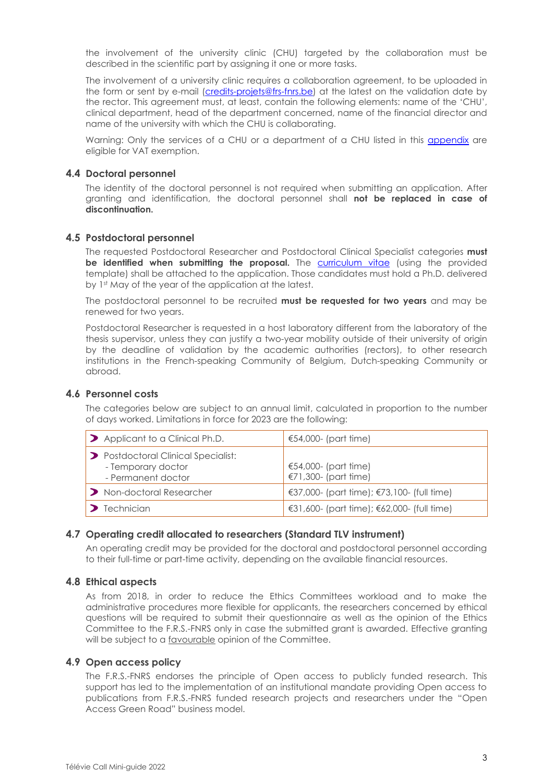the involvement of the university clinic (CHU) targeted by the collaboration must be described in the scientific part by assigning it one or more tasks.

The involvement of a university clinic requires a collaboration agreement, to be uploaded in the form or sent by e-mail [\(credits-projets@frs-fnrs.be\)](mailto:credits-projets@frs-fnrs.be) at the latest on the validation date by the rector. This agreement must, at least, contain the following elements: name of the 'CHU', clinical department, head of the department concerned, name of the financial director and name of the university with which the CHU is collaborating.

Warning: Only the services of a CHU or a department of a CHU listed in this [appendix](https://e-space.frs-fnrs.be/documents_publics/ressource/ANNEXE_CHU.pdf) are eligible for VAT exemption.

#### **4.4 Doctoral personnel**

The identity of the doctoral personnel is not required when submitting an application. After granting and identification, the doctoral personnel shall **not be replaced in case of discontinuation.**

### **4.5 Postdoctoral personnel**

The requested Postdoctoral Researcher and Postdoctoral Clinical Specialist categories **must be identified when submitting the proposal.** The [curriculum vitae](https://e-space.frs-fnrs.be/documents_publics/ressource/TLV_Modele_CV_Postdoc_EN.pdf) (using the provided template) shall be attached to the application. Those candidates must hold a Ph.D. delivered by 1st May of the year of the application at the latest.

The postdoctoral personnel to be recruited **must be requested for two years** and may be renewed for two years.

Postdoctoral Researcher is requested in a host laboratory different from the laboratory of the thesis supervisor, unless they can justify a two-year mobility outside of their university of origin by the deadline of validation by the academic authorities (rectors), to other research institutions in the French-speaking Community of Belgium, Dutch-speaking Community or abroad.

#### **4.6 Personnel costs**

The categories below are subject to an annual limit, calculated in proportion to the number of days worked. Limitations in force for 2023 are the following:

| > Applicant to a Clinical Ph.D.                                                 | €54,000- (part time)                          |
|---------------------------------------------------------------------------------|-----------------------------------------------|
| > Postdoctoral Clinical Specialist:<br>- Temporary doctor<br>- Permanent doctor | €54,000- (part time)<br>€71,300- (part time)  |
| > Non-doctoral Researcher                                                       | €37,000- (part time); $€73,100-$ (full time)  |
| $\blacktriangleright$ Technician                                                | €31,600- (part time); $€62,000$ - (full time) |

## **4.7 Operating credit allocated to researchers (Standard TLV instrument)**

An operating credit may be provided for the doctoral and postdoctoral personnel according to their full-time or part-time activity, depending on the available financial resources.

#### **4.8 Ethical aspects**

As from 2018, in order to reduce the Ethics Committees workload and to make the administrative procedures more flexible for applicants, the researchers concerned by ethical questions will be required to submit their questionnaire as well as the opinion of the Ethics Committee to the F.R.S.-FNRS only in case the submitted grant is awarded. Effective granting will be subject to a favourable opinion of the Committee.

#### **4.9 Open access policy**

The F.R.S.-FNRS endorses the principle of Open access to publicly funded research. This support has led to the implementation of an institutional mandate providing Open access to publications from F.R.S.-FNRS funded research projects and researchers under the "Open Access Green Road" business model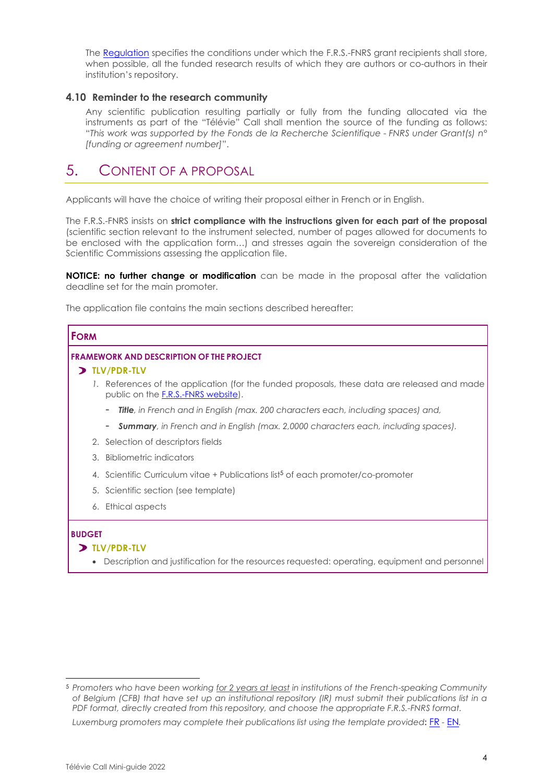The [Regulation](https://www.frs-fnrs.be/docs/Reglement_OPEN_ACCESS_EN.pdf) specifies the conditions under which the F.R.S.-FNRS grant recipients shall store, when possible, all the funded research results of which they are authors or co-authors in their institution's repository.

# **4.10 Reminder to the research community**

Any scientific publication resulting partially or fully from the funding allocated via the instruments as part of the "Télévie" Call shall mention the source of the funding as follows: "*This work was supported by the Fonds de la Recherche Scientifique - FNRS under Grant(s) n° [funding or agreement number]*".

# 5. CONTENT OF A PROPOSAL

Applicants will have the choice of writing their proposal either in French or in English.

The F.R.S.-FNRS insists on **strict compliance with the instructions given for each part of the proposal** (scientific section relevant to the instrument selected, number of pages allowed for documents to be enclosed with the application form…) and stresses again the sovereign consideration of the Scientific Commissions assessing the application file.

**NOTICE: no further change or modification** can be made in the proposal after the validation deadline set for the main promoter.

The application file contains the main sections described hereafter:

# **FORM FRAMEWORK AND DESCRIPTION OF THE PROJECT**

### **TLV/PDR-TLV**

1. References of the application (for the funded proposals, these data are released and made public on the [F.R.S.-FNRS](https://admin.frs-fnrs.be/SITE2/Search/Recherche.cfm) website).

- *Title, in French and in English (max. 200 characters each, including spaces) and,*
- *Summary, in French and in English (max. 2,0000 characters each, including spaces).*
- 2. Selection of descriptors fields
- 3. Bibliometric indicators
- 4. Scientific Curriculum vitae + Publications list<sup>5</sup> of each promoter/co-promoter
- 5. Scientific section (see template)
- 6. Ethical aspects

## **BUDGET**

## **TLV/PDR-TLV**

• Description and justification for the resources requested: operating, equipment and personnel

*Luxemburg promoters may complete their publications list using the template provided***:** [FR](https://e-space.frs-fnrs.be/documents_publics/ressource/TLV_publications_FR.docx) *-* [EN](https://e-space.frs-fnrs.be/documents_publics/ressource/TLV_publications_EN.docx)*.*

<sup>5</sup> *Promoters who have been working for 2 years at least in institutions of the French-speaking Community of Belgium (CFB) that have set up an institutional repository (IR) must submit their publications list in a PDF format, directly created from this repository, and choose the appropriate F.R.S.-FNRS format.*